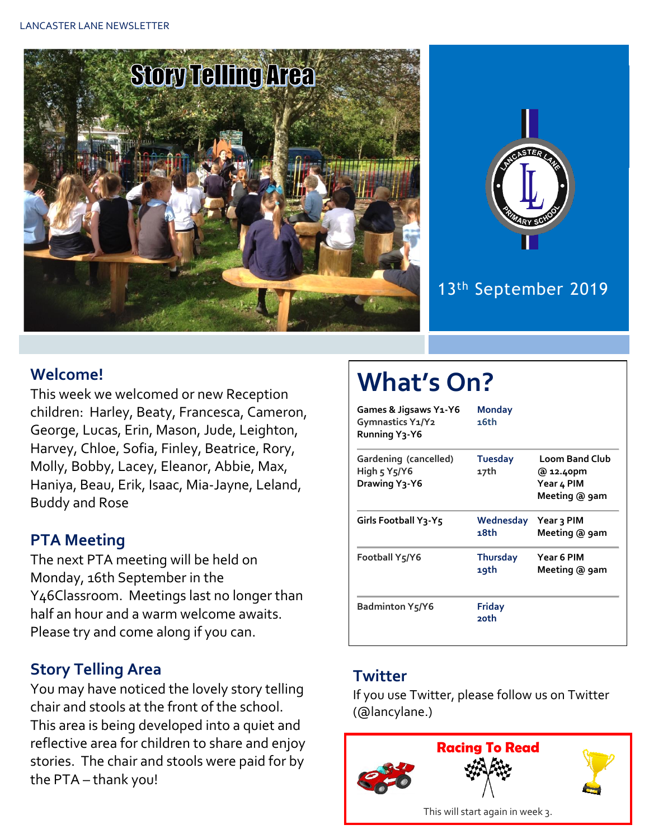



## 13th September 2019

### **Welcome!**

This week we welcomed or new Reception children: Harley, Beaty, Francesca, Cameron, George, Lucas, Erin, Mason, Jude, Leighton, Harvey, Chloe, Sofia, Finley, Beatrice, Rory, Molly, Bobby, Lacey, Eleanor, Abbie, Max, Haniya, Beau, Erik, Isaac, Mia-Jayne, Leland, Buddy and Rose

## **PTA Meeting**

The next PTA meeting will be held on Monday, 16th September in the Y46Classroom. Meetings last no longer than half an hour and a warm welcome awaits. Please try and come along if you can.

## **Story Telling Area**

You may have noticed the lovely story telling chair and stools at the front of the school. This area is being developed into a quiet and reflective area for children to share and enjoy stories. The chair and stools were paid for by the PTA – thank you!

# **What's On?**

| Games & Jigsaws Y1-Y6<br>Gymnastics Y1/Y2<br>Running Y3-Y6 | <b>Monday</b><br>16th   |                                                                   |
|------------------------------------------------------------|-------------------------|-------------------------------------------------------------------|
| Gardening (cancelled)<br>High 5 Y5/Y6<br>Drawing Y3-Y6     | <b>Tuesday</b><br>17th  | <b>Loom Band Club</b><br>@ 12.40pm<br>Year 4 PIM<br>Meeting @ 9am |
| Girls Football Y3-Y5                                       | Wednesday<br>18th       | Year 3 PIM<br>Meeting @ 9am                                       |
| Football Y5/Y6                                             | <b>Thursday</b><br>19th | Year 6 PIM<br>Meeting @ 9am                                       |
| Badminton Y5/Y6                                            | <b>Friday</b><br>20th   |                                                                   |

## **Twitter**

If you use Twitter, please follow us on Twitter (@lancylane.)

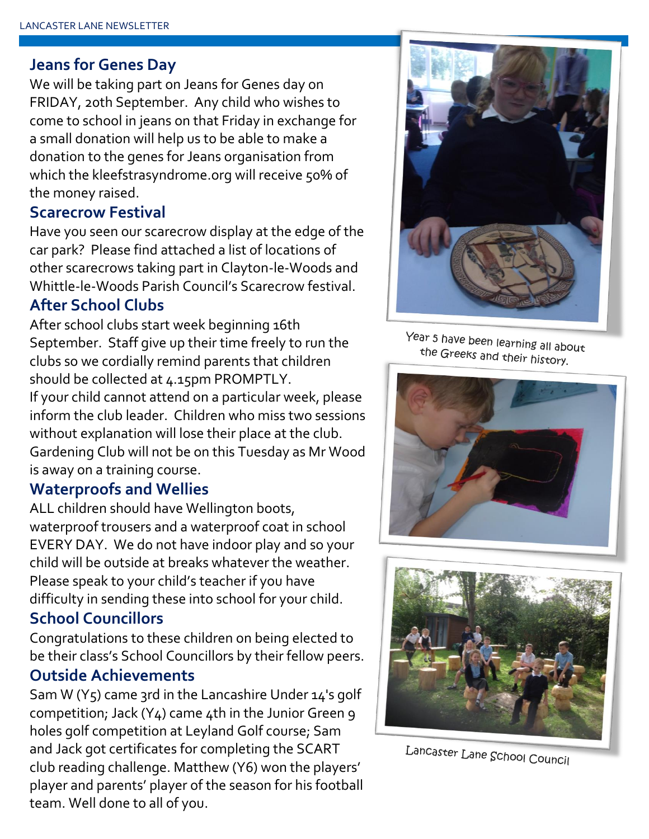#### **Jeans for Genes Day**

We will be taking part on Jeans for Genes day on FRIDAY, 20th September. Any child who wishes to come to school in jeans on that Friday in exchange for a small donation will help us to be able to make a donation to the genes for Jeans organisation from which the kleefstrasyndrome.org will receive 50% of the money raised.

#### **Scarecrow Festival**

Have you seen our scarecrow display at the edge of the car park? Please find attached a list of locations of other scarecrows taking part in Clayton-le-Woods and Whittle-le-Woods Parish Council's Scarecrow festival.

#### **After School Clubs**

After school clubs start week beginning 16th September. Staff give up their time freely to run the clubs so we cordially remind parents that children should be collected at 4.15pm PROMPTLY.

If your child cannot attend on a particular week, please inform the club leader. Children who miss two sessions without explanation will lose their place at the club. Gardening Club will not be on this Tuesday as Mr Wood is away on a training course.

#### **Waterproofs and Wellies**

ALL children should have Wellington boots, waterproof trousers and a waterproof coat in school EVERY DAY. We do not have indoor play and so your child will be outside at breaks whatever the weather. Please speak to your child's teacher if you have difficulty in sending these into school for your child.

#### **School Councillors**

Congratulations to these children on being elected to be their class's School Councillors by their fellow peers.

#### **Outside Achievements**

Sam W (Y5) came 3rd in the Lancashire Under 14's golf competition; Jack (Y4) came 4th in the Junior Green 9 holes golf competition at Leyland Golf course; Sam and Jack got certificates for completing the SCART club reading challenge. Matthew (Y6) won the players' player and parents' player of the season for his football team. Well done to all of you.



Year 5 have been learning all about the Greeks and their history.





Lancaster Lane School Council